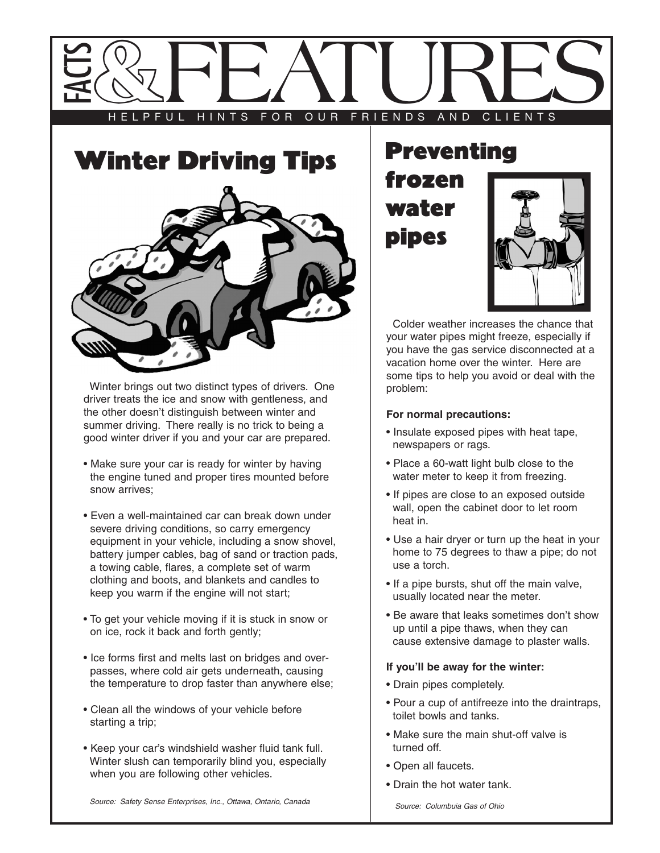



Winter brings out two distinct types of drivers. One driver treats the ice and snow with gentleness, and the other doesn't distinguish between winter and summer driving. There really is no trick to being a good winter driver if you and your car are prepared.

- Make sure your car is ready for winter by having the engine tuned and proper tires mounted before snow arrives;
- Even a well-maintained car can break down under severe driving conditions, so carry emergency equipment in your vehicle, including a snow shovel, battery jumper cables, bag of sand or traction pads, a towing cable, flares, a complete set of warm clothing and boots, and blankets and candles to keep you warm if the engine will not start;
- To get your vehicle moving if it is stuck in snow or on ice, rock it back and forth gently;
- Ice forms first and melts last on bridges and overpasses, where cold air gets underneath, causing the temperature to drop faster than anywhere else;
- Clean all the windows of your vehicle before starting a trip;
- Keep your car's windshield washer fluid tank full. Winter slush can temporarily blind you, especially when you are following other vehicles.

**Preventing** frozen water pipes



Colder weather increases the chance that your water pipes might freeze, especially if you have the gas service disconnected at a vacation home over the winter. Here are some tips to help you avoid or deal with the problem:

## **For normal precautions:**

- Insulate exposed pipes with heat tape, newspapers or rags.
- Place a 60-watt light bulb close to the water meter to keep it from freezing.
- If pipes are close to an exposed outside wall, open the cabinet door to let room heat in.
- Use a hair dryer or turn up the heat in your home to 75 degrees to thaw a pipe; do not use a torch.
- If a pipe bursts, shut off the main valve, usually located near the meter.
- Be aware that leaks sometimes don't show up until a pipe thaws, when they can cause extensive damage to plaster walls.

## **If you'll be away for the winter:**

- Drain pipes completely.
- Pour a cup of antifreeze into the draintraps, toilet bowls and tanks.
- Make sure the main shut-off valve is turned off.
- Open all faucets.
- Drain the hot water tank.

Source: Safety Sense Enterprises, Inc., Ottawa, Ontario, Canada Source: Columbuia Gas of Ohio